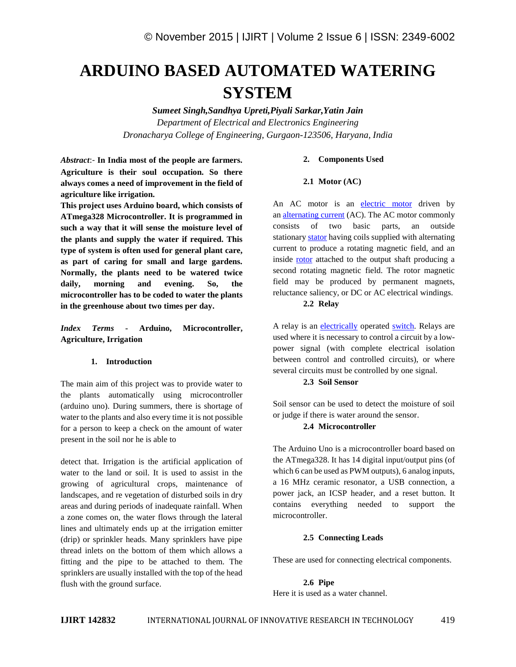# **ARDUINO BASED AUTOMATED WATERING SYSTEM**

*Sumeet Singh,Sandhya Upreti,Piyali Sarkar,Yatin Jain Department of Electrical and Electronics Engineering Dronacharya College of Engineering, Gurgaon-123506, Haryana, India*

*Abstract*:- **In India most of the people are farmers. Agriculture is their soul occupation. So there always comes a need of improvement in the field of agriculture like irrigation.**

**This project uses Arduino board, which consists of ATmega328 Microcontroller. It is programmed in such a way that it will sense the moisture level of the plants and supply the water if required. This type of system is often used for general plant care, as part of caring for small and large gardens. Normally, the plants need to be watered twice daily, morning and evening. So, the microcontroller has to be coded to water the plants in the greenhouse about two times per day.**

# *Index Terms* **- Arduino, Microcontroller, Agriculture, Irrigation**

# **1. Introduction**

The main aim of this project was to provide water to the plants automatically using microcontroller (arduino uno). During summers, there is shortage of water to the plants and also every time it is not possible for a person to keep a check on the amount of water present in the soil nor he is able to

detect that. Irrigation is the artificial application of water to the land or soil. It is used to assist in the growing of agricultural crops, maintenance of landscapes, and re vegetation of disturbed soils in dry areas and during periods of inadequate rainfall. When a zone comes on, the water flows through the lateral lines and ultimately ends up at the irrigation emitter (drip) or sprinkler heads. Many sprinklers have pipe thread inlets on the bottom of them which allows a fitting and the pipe to be attached to them. The sprinklers are usually installed with the top of the head flush with the ground surface.

## **2. Components Used**

#### **2.1 Motor (AC)**

An AC motor is an electric motor driven by an alternating current (AC). The AC motor commonly consists of two basic parts, an outside stationary stator having coils supplied with alternating current to produce a rotating magnetic field, and an inside **rotor** attached to the output shaft producing a second rotating magnetic field. The rotor magnetic field may be produced by permanent magnets, reluctance saliency, or DC or AC electrical windings.

## **2.2 Relay**

A relay is an electrically operated switch. Relays are used where it is necessary to control a circuit by a low power signal (with complete electrical isolation between control and controlled circuits), or where several circuits must be controlled by one signal.

# **2.3 Soil Sensor**

Soil sensor can be used to detect the moisture of soil or judge if there is water around the sensor.

## **2.4 Microcontroller**

The Arduino Uno is a microcontroller board based on the ATmega328. It has 14 digital input/output pins (of which 6 can be used as PWM outputs), 6 analog inputs, a 16 MHz ceramic resonator, a USB connection, a power jack, an ICSP header, and a reset button. It contains everything needed to support the microcontroller.

#### **2.5 Connecting Leads**

These are used for connecting electrical components.

**2.6 Pipe** Here it is used as a water channel.